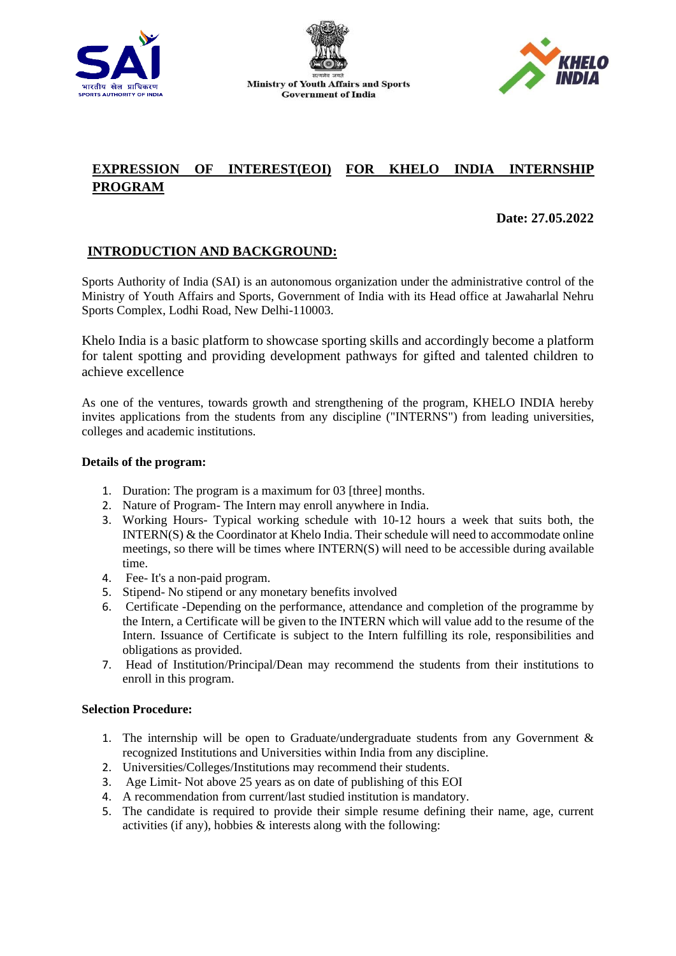





# **EXPRESSION OF INTEREST(EOI) FOR KHELO INDIA INTERNSHIP PROGRAM**

**Date: 27.05.2022**

## **INTRODUCTION AND BACKGROUND:**

Sports Authority of India (SAI) is an autonomous organization under the administrative control of the Ministry of Youth Affairs and Sports, Government of India with its Head office at Jawaharlal Nehru Sports Complex, Lodhi Road, New Delhi-110003.

Khelo India is a basic platform to showcase sporting skills and accordingly become a platform for talent spotting and providing development pathways for gifted and talented children to achieve excellence

As one of the ventures, towards growth and strengthening of the program, KHELO INDIA hereby invites applications from the students from any discipline ("INTERNS") from leading universities, colleges and academic institutions.

### **Details of the program:**

- 1. Duration: The program is a maximum for 03 [three] months.
- 2. Nature of Program- The Intern may enroll anywhere in India.
- 3. Working Hours- Typical working schedule with 10-12 hours a week that suits both, the INTERN(S) & the Coordinator at Khelo India. Their schedule will need to accommodate online meetings, so there will be times where INTERN(S) will need to be accessible during available time.
- 4. Fee- It's a non-paid program.
- 5. Stipend- No stipend or any monetary benefits involved
- 6. Certificate -Depending on the performance, attendance and completion of the programme by the Intern, a Certificate will be given to the INTERN which will value add to the resume of the Intern. Issuance of Certificate is subject to the Intern fulfilling its role, responsibilities and obligations as provided.
- 7. Head of Institution/Principal/Dean may recommend the students from their institutions to enroll in this program.

### **Selection Procedure:**

- 1. The internship will be open to Graduate/undergraduate students from any Government & recognized Institutions and Universities within India from any discipline.
- 2. Universities/Colleges/Institutions may recommend their students.
- 3. Age Limit- Not above 25 years as on date of publishing of this EOI
- 4. A recommendation from current/last studied institution is mandatory.
- 5. The candidate is required to provide their simple resume defining their name, age, current activities (if any), hobbies & interests along with the following: